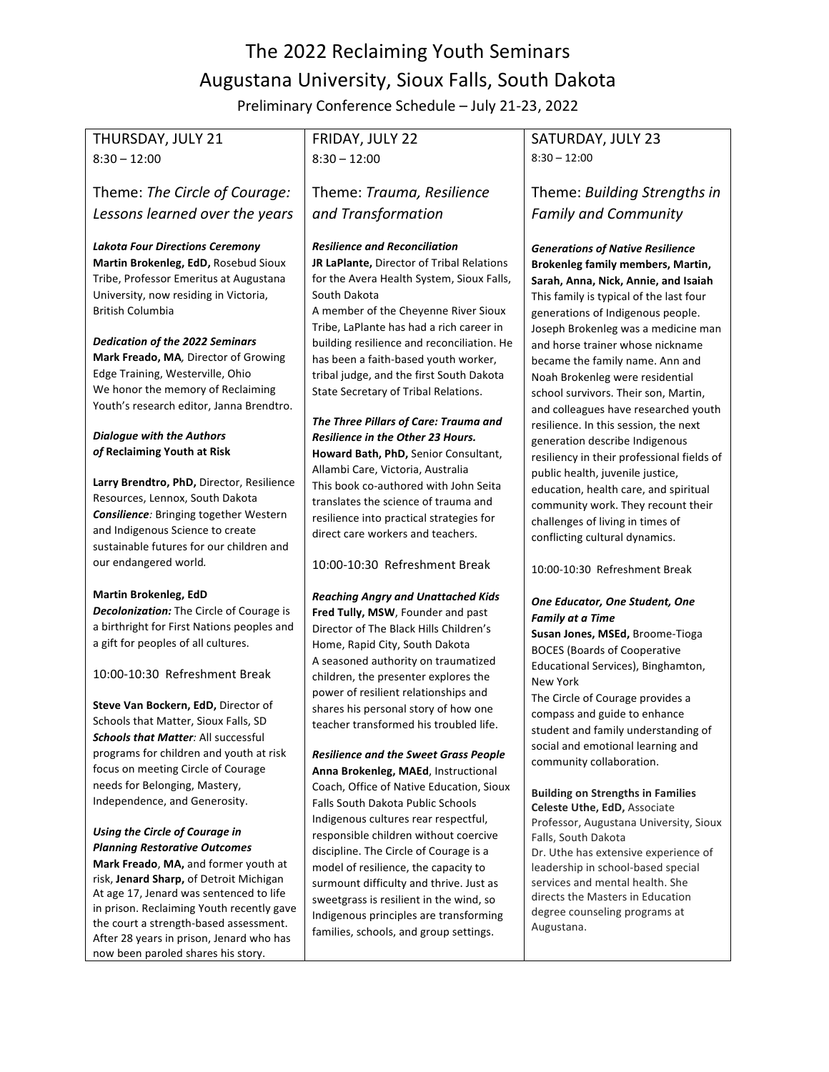# The 2022 Reclaiming Youth Seminars Augustana University, Sioux Falls, South Dakota

Preliminary Conference Schedule - July 21-23, 2022

# THURSDAY, JULY 21  $8:30 - 12:00$

Theme: The Circle of Courage: *Lessons learned over the years*

### *Lakota Four Directions Ceremony*

**Martin Brokenleg, EdD,** Rosebud Sioux Tribe, Professor Emeritus at Augustana University, now residing in Victoria, British Columbia

### **Dedication of the 2022 Seminars**

**Mark Freado, MA**, Director of Growing Edge Training, Westerville, Ohio We honor the memory of Reclaiming Youth's research editor, Janna Brendtro.

### *Dialogue with the Authors of* **Reclaiming Youth at Risk**

**Larry Brendtro, PhD, Director, Resilience** Resources, Lennox, South Dakota **Consilience**: Bringing together Western and Indigenous Science to create sustainable futures for our children and our endangered world.

#### **Martin Brokenleg, EdD**

**Decolonization:** The Circle of Courage is a birthright for First Nations peoples and a gift for peoples of all cultures.

10:00-10:30 Refreshment Break

**Steve Van Bockern, EdD,** Director of Schools that Matter, Sioux Falls, SD **Schools that Matter**: All successful programs for children and youth at risk focus on meeting Circle of Courage needs for Belonging, Mastery, Independence, and Generosity.

Using the Circle of Courage in *Planning Restorative Outcomes* **Mark Freado, MA, and former youth at** risk, Jenard Sharp, of Detroit Michigan At age 17, Jenard was sentenced to life in prison. Reclaiming Youth recently gave the court a strength-based assessment. After 28 years in prison, Jenard who has now been paroled shares his story.

# FRIDAY, JULY 22  $8:30 - 12:00$

Theme: *Trauma, Resilience and Transformation*

### *Resilience and Reconciliation*

**JR LaPlante, Director of Tribal Relations** for the Avera Health System, Sioux Falls, South Dakota

A member of the Cheyenne River Sioux Tribe, LaPlante has had a rich career in building resilience and reconciliation. He has been a faith-based youth worker, tribal judge, and the first South Dakota State Secretary of Tribal Relations.

**The Three Pillars of Care: Trauma and Resilience in the Other 23 Hours. Howard Bath, PhD, Senior Consultant,** Allambi Care, Victoria, Australia This book co-authored with John Seita translates the science of trauma and resilience into practical strategies for direct care workers and teachers.

10:00-10:30 Refreshment Break

# *Reaching Angry and Unattached Kids* **Fred Tully, MSW**, Founder and past Director of The Black Hills Children's Home, Rapid City, South Dakota A seasoned authority on traumatized children, the presenter explores the power of resilient relationships and shares his personal story of how one teacher transformed his troubled life.

*Resilience and the Sweet Grass People* **Anna Brokenleg, MAEd**, Instructional Coach, Office of Native Education, Sioux Falls South Dakota Public Schools Indigenous cultures rear respectful, responsible children without coercive discipline. The Circle of Courage is a model of resilience, the capacity to surmount difficulty and thrive. Just as sweetgrass is resilient in the wind, so Indigenous principles are transforming families, schools, and group settings.

# SATURDAY, JULY 23  $8:30 - 12:00$

# **Theme: Building Strengths in** *Family and Community*

*Generations of Native Resilience* **Brokenleg family members, Martin, Sarah, Anna, Nick, Annie, and Isaiah** This family is typical of the last four generations of Indigenous people. Joseph Brokenleg was a medicine man and horse trainer whose nickname became the family name. Ann and Noah Brokenleg were residential school survivors. Their son, Martin, and colleagues have researched youth resilience. In this session, the next generation describe Indigenous resiliency in their professional fields of public health, juvenile justice, education, health care, and spiritual community work. They recount their challenges of living in times of conflicting cultural dynamics.

10:00-10:30 Refreshment Break

# **One Educator, One Student, One** *Family at a Time*

**Susan Jones, MSEd,** Broome-Tioga **BOCES** (Boards of Cooperative Educational Services), Binghamton, New York

The Circle of Courage provides a compass and guide to enhance student and family understanding of social and emotional learning and community collaboration.

**Building on Strengths in Families Celeste Uthe, EdD, Associate** Professor, Augustana University, Sioux Falls, South Dakota Dr. Uthe has extensive experience of leadership in school-based special services and mental health. She directs the Masters in Education degree counseling programs at Augustana.